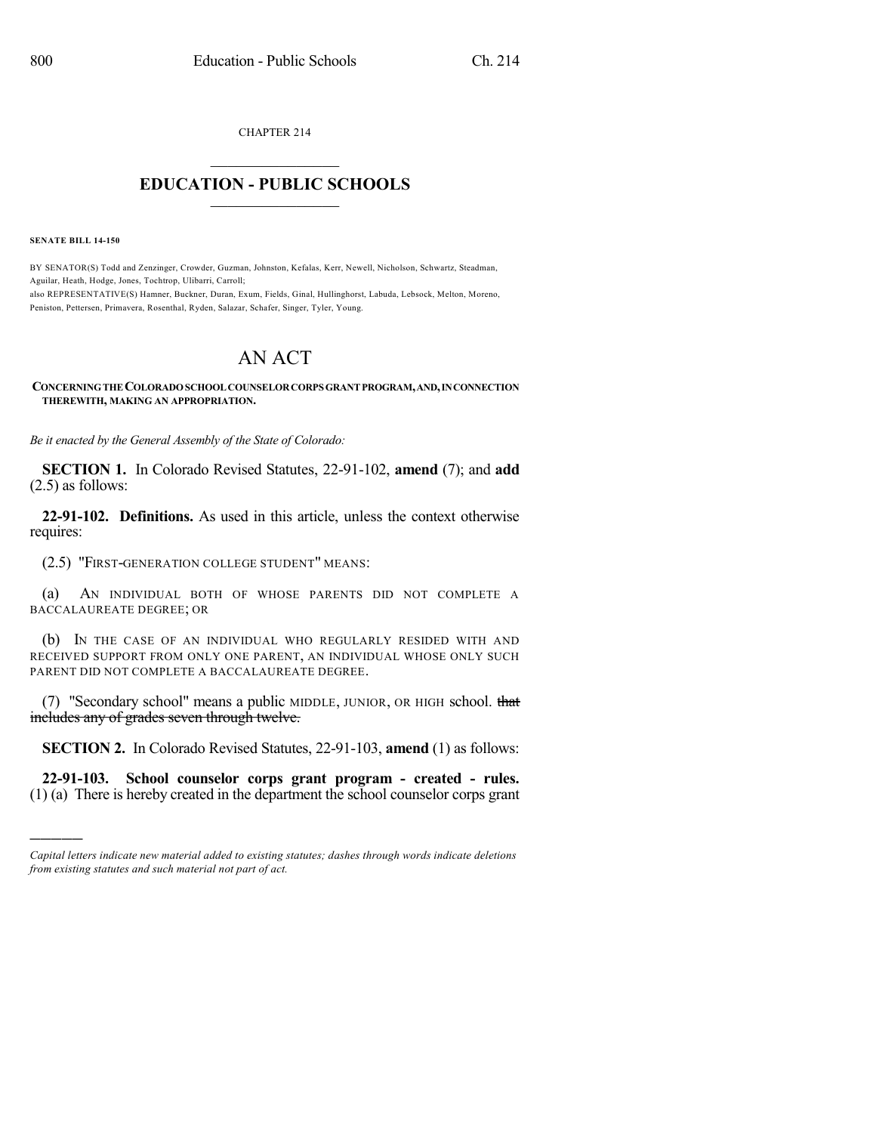CHAPTER 214

## $\overline{\phantom{a}}$  . The set of the set of the set of the set of the set of the set of the set of the set of the set of the set of the set of the set of the set of the set of the set of the set of the set of the set of the set o **EDUCATION - PUBLIC SCHOOLS**  $\_$   $\_$   $\_$   $\_$   $\_$   $\_$   $\_$   $\_$   $\_$

**SENATE BILL 14-150**

)))))

BY SENATOR(S) Todd and Zenzinger, Crowder, Guzman, Johnston, Kefalas, Kerr, Newell, Nicholson, Schwartz, Steadman, Aguilar, Heath, Hodge, Jones, Tochtrop, Ulibarri, Carroll; also REPRESENTATIVE(S) Hamner, Buckner, Duran, Exum, Fields, Ginal, Hullinghorst, Labuda, Lebsock, Melton, Moreno, Peniston, Pettersen, Primavera, Rosenthal, Ryden, Salazar, Schafer, Singer, Tyler, Young.

## AN ACT

## **CONCERNINGTHECOLORADOSCHOOLCOUNSELORCORPSGRANTPROGRAM,AND,INCONNECTION THEREWITH, MAKING AN APPROPRIATION.**

*Be it enacted by the General Assembly of the State of Colorado:*

**SECTION 1.** In Colorado Revised Statutes, 22-91-102, **amend** (7); and **add** (2.5) as follows:

**22-91-102. Definitions.** As used in this article, unless the context otherwise requires:

(2.5) "FIRST-GENERATION COLLEGE STUDENT" MEANS:

(a) AN INDIVIDUAL BOTH OF WHOSE PARENTS DID NOT COMPLETE A BACCALAUREATE DEGREE; OR

(b) IN THE CASE OF AN INDIVIDUAL WHO REGULARLY RESIDED WITH AND RECEIVED SUPPORT FROM ONLY ONE PARENT, AN INDIVIDUAL WHOSE ONLY SUCH PARENT DID NOT COMPLETE A BACCALAUREATE DEGREE.

(7) "Secondary school" means a public MIDDLE, JUNIOR, OR HIGH school. that includes any of grades seven through twelve.

**SECTION 2.** In Colorado Revised Statutes, 22-91-103, **amend** (1) as follows:

**22-91-103. School counselor corps grant program - created - rules.** (1) (a) There is hereby created in the department the school counselor corps grant

*Capital letters indicate new material added to existing statutes; dashes through words indicate deletions from existing statutes and such material not part of act.*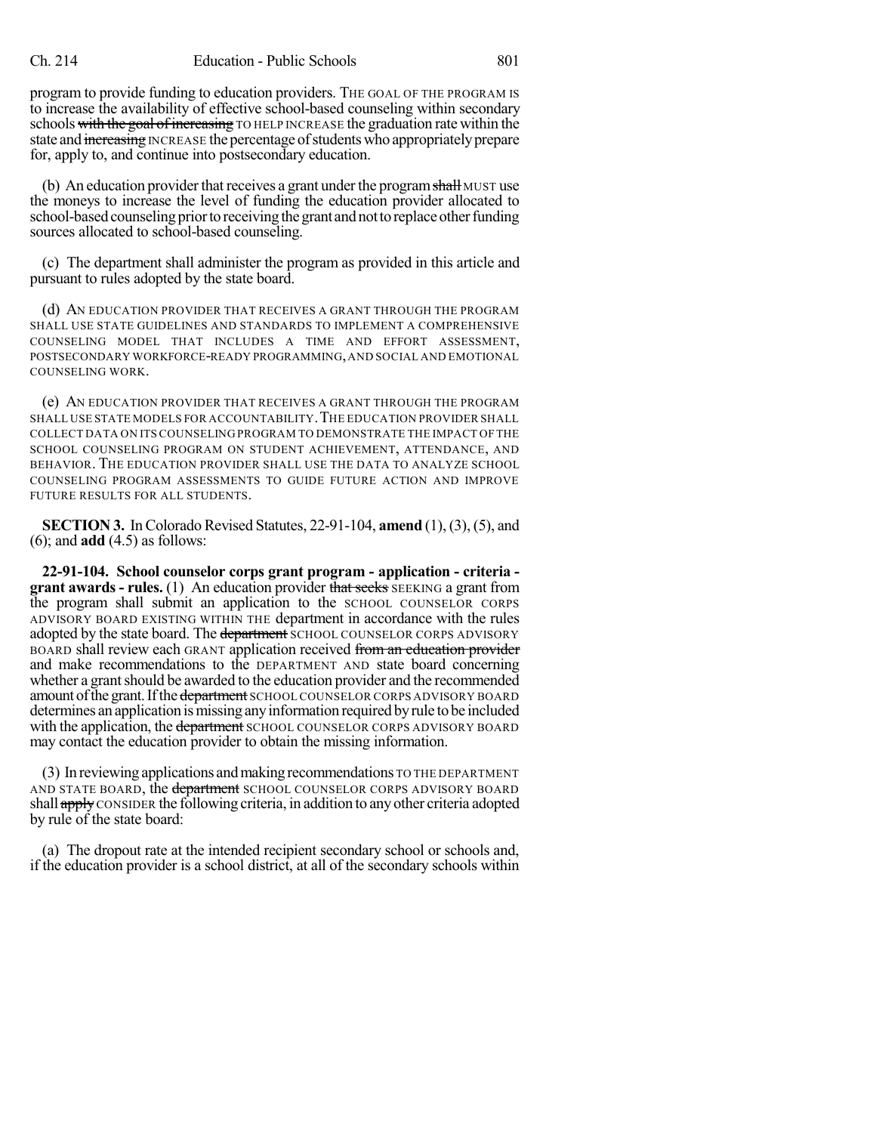program to provide funding to education providers. THE GOAL OF THE PROGRAM IS to increase the availability of effective school-based counseling within secondary schools with the goal of increasing TO HELP INCREASE the graduation rate within the state and increasing INCREASE the percentage of students who appropriately prepare for, apply to, and continue into postsecondary education.

(b) An education provider that receives a grant under the program shall MUST use the moneys to increase the level of funding the education provider allocated to school-based counseling prior to receiving the grant and not to replace other funding sources allocated to school-based counseling.

(c) The department shall administer the program as provided in this article and pursuant to rules adopted by the state board.

(d) AN EDUCATION PROVIDER THAT RECEIVES A GRANT THROUGH THE PROGRAM SHALL USE STATE GUIDELINES AND STANDARDS TO IMPLEMENT A COMPREHENSIVE COUNSELING MODEL THAT INCLUDES A TIME AND EFFORT ASSESSMENT, POSTSECONDARY WORKFORCE-READY PROGRAMMING,AND SOCIAL AND EMOTIONAL COUNSELING WORK.

(e) AN EDUCATION PROVIDER THAT RECEIVES A GRANT THROUGH THE PROGRAM SHALL USE STATE MODELS FOR ACCOUNTABILITY. THE EDUCATION PROVIDER SHALL COLLECT DATA ON ITS COUNSELING PROGRAM TO DEMONSTRATE THE IMPACT OF THE SCHOOL COUNSELING PROGRAM ON STUDENT ACHIEVEMENT, ATTENDANCE, AND BEHAVIOR. THE EDUCATION PROVIDER SHALL USE THE DATA TO ANALYZE SCHOOL COUNSELING PROGRAM ASSESSMENTS TO GUIDE FUTURE ACTION AND IMPROVE FUTURE RESULTS FOR ALL STUDENTS.

**SECTION 3.** In Colorado Revised Statutes, 22-91-104, **amend** (1), (3), (5), and (6); and **add** (4.5) as follows:

**22-91-104. School counselor corps grant program - application - criteria grant awards - rules.** (1) An education provider that seeks SEEKING a grant from the program shall submit an application to the SCHOOL COUNSELOR CORPS ADVISORY BOARD EXISTING WITHIN THE department in accordance with the rules adopted by the state board. The department SCHOOL COUNSELOR CORPS ADVISORY BOARD shall review each GRANT application received from an education provider and make recommendations to the DEPARTMENT AND state board concerning whether a grant should be awarded to the education provider and the recommended amount of the grant. If the department SCHOOL COUNSELOR CORPS ADVISORY BOARD determines an application ismissing anyinformation required byrule to be included with the application, the department SCHOOL COUNSELOR CORPS ADVISORY BOARD may contact the education provider to obtain the missing information.

(3) In reviewing applications andmakingrecommendations TO THE DEPARTMENT AND STATE BOARD, the department SCHOOL COUNSELOR CORPS ADVISORY BOARD shall  $\frac{apby}{q}$  consider the following criteria, in addition to any other criteria adopted by rule of the state board:

(a) The dropout rate at the intended recipient secondary school or schools and, if the education provider is a school district, at all of the secondary schools within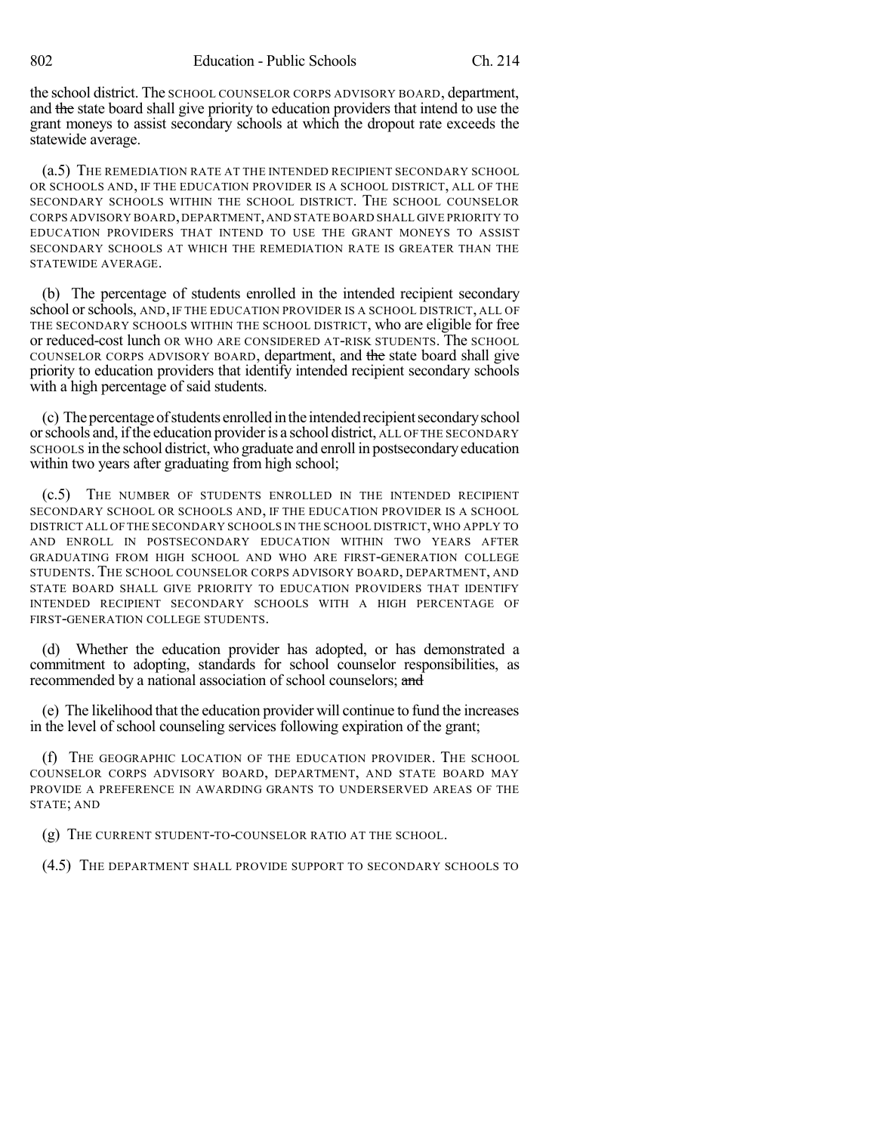the school district. The SCHOOL COUNSELOR CORPS ADVISORY BOARD, department, and the state board shall give priority to education providers that intend to use the grant moneys to assist secondary schools at which the dropout rate exceeds the statewide average.

(a.5) THE REMEDIATION RATE AT THE INTENDED RECIPIENT SECONDARY SCHOOL OR SCHOOLS AND, IF THE EDUCATION PROVIDER IS A SCHOOL DISTRICT, ALL OF THE SECONDARY SCHOOLS WITHIN THE SCHOOL DISTRICT. THE SCHOOL COUNSELOR CORPS ADVISORY BOARD,DEPARTMENT,AND STATE BOARD SHALL GIVE PRIORITY TO EDUCATION PROVIDERS THAT INTEND TO USE THE GRANT MONEYS TO ASSIST SECONDARY SCHOOLS AT WHICH THE REMEDIATION RATE IS GREATER THAN THE STATEWIDE AVERAGE.

(b) The percentage of students enrolled in the intended recipient secondary school orschools, AND, IF THE EDUCATION PROVIDER IS A SCHOOL DISTRICT, ALL OF THE SECONDARY SCHOOLS WITHIN THE SCHOOL DISTRICT, who are eligible for free or reduced-cost lunch OR WHO ARE CONSIDERED AT-RISK STUDENTS. The SCHOOL COUNSELOR CORPS ADVISORY BOARD, department, and the state board shall give priority to education providers that identify intended recipient secondary schools with a high percentage of said students.

(c) The percentage of students enrolled in the intended recipient secondary school orschools and, ifthe education provideris a school district, ALL OFTHE SECONDARY SCHOOLS in the school district, who graduate and enroll in postsecondaryeducation within two years after graduating from high school;

(c.5) THE NUMBER OF STUDENTS ENROLLED IN THE INTENDED RECIPIENT SECONDARY SCHOOL OR SCHOOLS AND, IF THE EDUCATION PROVIDER IS A SCHOOL DISTRICT ALL OF THE SECONDARY SCHOOLS IN THE SCHOOL DISTRICT,WHO APPLY TO AND ENROLL IN POSTSECONDARY EDUCATION WITHIN TWO YEARS AFTER GRADUATING FROM HIGH SCHOOL AND WHO ARE FIRST-GENERATION COLLEGE STUDENTS. THE SCHOOL COUNSELOR CORPS ADVISORY BOARD, DEPARTMENT, AND STATE BOARD SHALL GIVE PRIORITY TO EDUCATION PROVIDERS THAT IDENTIFY INTENDED RECIPIENT SECONDARY SCHOOLS WITH A HIGH PERCENTAGE OF FIRST-GENERATION COLLEGE STUDENTS.

(d) Whether the education provider has adopted, or has demonstrated a commitment to adopting, standards for school counselor responsibilities, as recommended by a national association of school counselors; and

(e) The likelihood that the education provider will continue to fund the increases in the level of school counseling services following expiration of the grant;

(f) THE GEOGRAPHIC LOCATION OF THE EDUCATION PROVIDER. THE SCHOOL COUNSELOR CORPS ADVISORY BOARD, DEPARTMENT, AND STATE BOARD MAY PROVIDE A PREFERENCE IN AWARDING GRANTS TO UNDERSERVED AREAS OF THE STATE; AND

(g) THE CURRENT STUDENT-TO-COUNSELOR RATIO AT THE SCHOOL.

(4.5) THE DEPARTMENT SHALL PROVIDE SUPPORT TO SECONDARY SCHOOLS TO